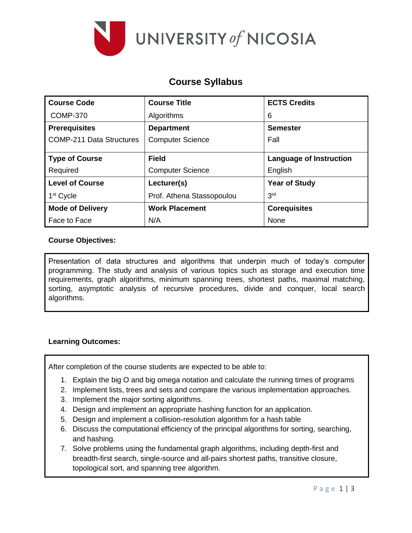

# **Course Syllabus**

| <b>Course Code</b>              | <b>Course Title</b>       | <b>ECTS Credits</b>            |  |
|---------------------------------|---------------------------|--------------------------------|--|
| <b>COMP-370</b>                 | Algorithms                | 6                              |  |
| <b>Prerequisites</b>            | <b>Department</b>         | <b>Semester</b>                |  |
| <b>COMP-211 Data Structures</b> | <b>Computer Science</b>   | Fall                           |  |
| <b>Type of Course</b>           | <b>Field</b>              | <b>Language of Instruction</b> |  |
| Required                        | <b>Computer Science</b>   | English                        |  |
| <b>Level of Course</b>          | Lecturer(s)               | <b>Year of Study</b>           |  |
| 1 <sup>st</sup> Cycle           | Prof. Athena Stassopoulou | 3 <sup>rd</sup>                |  |
| <b>Mode of Delivery</b>         | <b>Work Placement</b>     | <b>Corequisites</b>            |  |
| Face to Face                    | N/A                       | None                           |  |

### **Course Objectives:**

Presentation of data structures and algorithms that underpin much of today's computer programming. The study and analysis of various topics such as storage and execution time requirements, graph algorithms, minimum spanning trees, shortest paths, maximal matching, sorting, asymptotic analysis of recursive procedures, divide and conquer, local search algorithms.

## **Learning Outcomes:**

After completion of the course students are expected to be able to:

- 1. Explain the big O and big omega notation and calculate the running times of programs
- 2. Implement lists, trees and sets and compare the various implementation approaches.
- 3. Implement the major sorting algorithms.
- 4. Design and implement an appropriate hashing function for an application.
- 5. Design and implement a collision-resolution algorithm for a hash table
- 6. Discuss the computational efficiency of the principal algorithms for sorting, searching, and hashing.
- 7. Solve problems using the fundamental graph algorithms, including depth-first and breadth-first search, single-source and all-pairs shortest paths, transitive closure, topological sort, and spanning tree algorithm.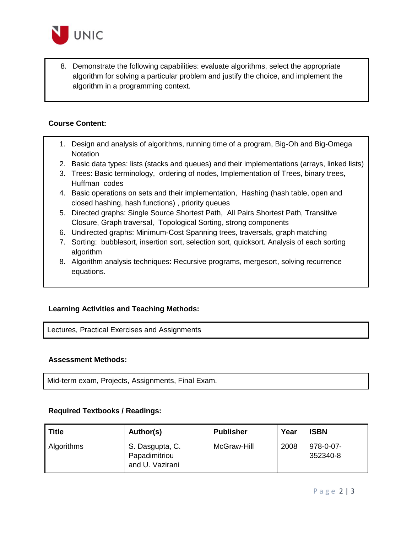

8. Demonstrate the following capabilities: evaluate algorithms, select the appropriate algorithm for solving a particular problem and justify the choice, and implement the algorithm in a programming context.

#### **Course Content:**

- 1. Design and analysis of algorithms, running time of a program, Big-Oh and Big-Omega **Notation**
- 2. Basic data types: lists (stacks and queues) and their implementations (arrays, linked lists)
- 3. Trees: Basic terminology, ordering of nodes, Implementation of Trees, binary trees, Huffman codes
- 4. Basic operations on sets and their implementation, Hashing (hash table, open and closed hashing, hash functions) , priority queues
- 5. Directed graphs: Single Source Shortest Path, All Pairs Shortest Path, Transitive Closure, Graph traversal, Topological Sorting, strong components
- 6. Undirected graphs: Minimum-Cost Spanning trees, traversals, graph matching
- 7. Sorting: bubblesort, insertion sort, selection sort, quicksort. Analysis of each sorting algorithm
- 8. Algorithm analysis techniques: Recursive programs, mergesort, solving recurrence equations.

## **Learning Activities and Teaching Methods:**

Lectures, Practical Exercises and Assignments

#### **Assessment Methods:**

Mid-term exam, Projects, Assignments, Final Exam.

#### **Required Textbooks / Readings:**

| <b>Title</b> | Author(s)                                           | <b>Publisher</b> | Year | <b>ISBN</b>           |
|--------------|-----------------------------------------------------|------------------|------|-----------------------|
| Algorithms   | S. Dasgupta, C.<br>Papadimitriou<br>and U. Vazirani | McGraw-Hill      | 2008 | 978-0-07-<br>352340-8 |